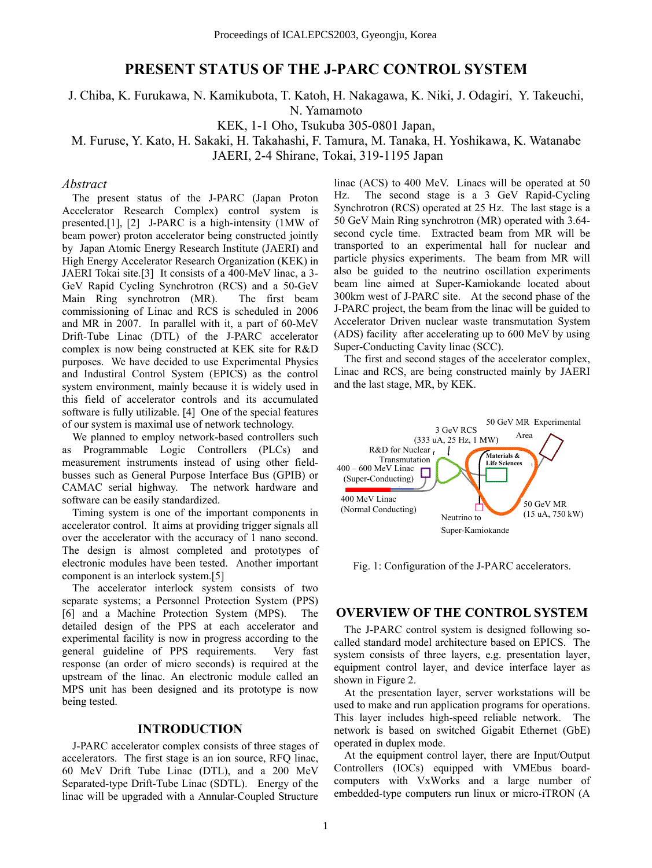## **PRESENT STATUS OF THE J-PARC CONTROL SYSTEM**

J. Chiba, K. Furukawa, N. Kamikubota, T. Katoh, H. Nakagawa, K. Niki, J. Odagiri, Y. Takeuchi,

N. Yamamoto

KEK, 1-1 Oho, Tsukuba 305-0801 Japan,

M. Furuse, Y. Kato, H. Sakaki, H. Takahashi, F. Tamura, M. Tanaka, H. Yoshikawa, K. Watanabe JAERI, 2-4 Shirane, Tokai, 319-1195 Japan

#### *Abstract*

The present status of the J-PARC (Japan Proton Accelerator Research Complex) control system is presented.[1], [2] J-PARC is a high-intensity (1MW of beam power) proton accelerator being constructed jointly by Japan Atomic Energy Research Institute (JAERI) and High Energy Accelerator Research Organization (KEK) in JAERI Tokai site.[3] It consists of a 400-MeV linac, a 3- GeV Rapid Cycling Synchrotron (RCS) and a 50-GeV Main Ring synchrotron (MR). The first beam commissioning of Linac and RCS is scheduled in 2006 and MR in 2007. In parallel with it, a part of 60-MeV Drift-Tube Linac (DTL) of the J-PARC accelerator complex is now being constructed at KEK site for R&D purposes. We have decided to use Experimental Physics and Industiral Control System (EPICS) as the control system environment, mainly because it is widely used in this field of accelerator controls and its accumulated software is fully utilizable. [4] One of the special features of our system is maximal use of network technology.

We planned to employ network-based controllers such as Programmable Logic Controllers (PLCs) and measurement instruments instead of using other fieldbusses such as General Purpose Interface Bus (GPIB) or CAMAC serial highway. The network hardware and software can be easily standardized.

Timing system is one of the important components in accelerator control. It aims at providing trigger signals all over the accelerator with the accuracy of 1 nano second. The design is almost completed and prototypes of electronic modules have been tested. Another important component is an interlock system.[5]

The accelerator interlock system consists of two separate systems; a Personnel Protection System (PPS) [6] and a Machine Protection System (MPS). The detailed design of the PPS at each accelerator and experimental facility is now in progress according to the general guideline of PPS requirements. Very fast response (an order of micro seconds) is required at the upstream of the linac. An electronic module called an MPS unit has been designed and its prototype is now being tested.

#### **INTRODUCTION**

J-PARC accelerator complex consists of three stages of accelerators. The first stage is an ion source, RFQ linac, 60 MeV Drift Tube Linac (DTL), and a 200 MeV Separated-type Drift-Tube Linac (SDTL). Energy of the linac will be upgraded with a Annular-Coupled Structure

linac (ACS) to 400 MeV. Linacs will be operated at 50 Hz. The second stage is a 3 GeV Rapid-Cycling Synchrotron (RCS) operated at 25 Hz. The last stage is a 50 GeV Main Ring synchrotron (MR) operated with 3.64 second cycle time. Extracted beam from MR will be transported to an experimental hall for nuclear and particle physics experiments. The beam from MR will also be guided to the neutrino oscillation experiments beam line aimed at Super-Kamiokande located about 300km west of J-PARC site. At the second phase of the J-PARC project, the beam from the linac will be guided to Accelerator Driven nuclear waste transmutation System (ADS) facility after accelerating up to 600 MeV by using Super-Conducting Cavity linac (SCC).

The first and second stages of the accelerator complex, Linac and RCS, are being constructed mainly by JAERI and the last stage, MR, by KEK.



Fig. 1: Configuration of the J-PARC accelerators.

#### **OVERVIEW OF THE CONTROL SYSTEM**

The J-PARC control system is designed following socalled standard model architecture based on EPICS. The system consists of three layers, e.g. presentation layer, equipment control layer, and device interface layer as shown in Figure 2.

At the presentation layer, server workstations will be used to make and run application programs for operations. This layer includes high-speed reliable network. The network is based on switched Gigabit Ethernet (GbE) operated in duplex mode.

At the equipment control layer, there are Input/Output Controllers (IOCs) equipped with VMEbus boardcomputers with VxWorks and a large number of embedded-type computers run linux or micro-iTRON (A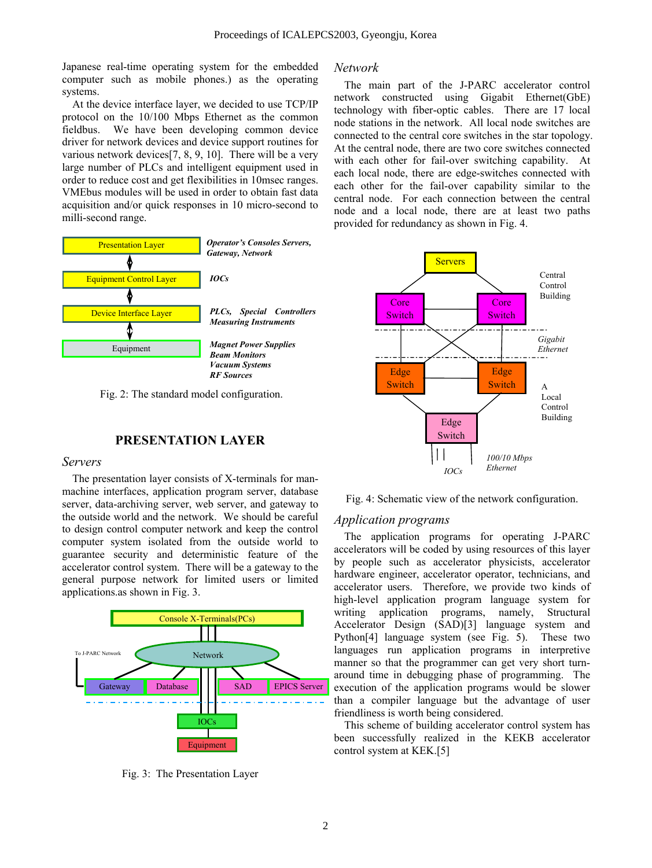Japanese real-time operating system for the embedded Network computer such as mobile phones.) as the operating systems.

At the device interface layer, we decided to use TCP/IP protocol on the 10/100 Mbps Ethernet as the common fieldbus. We have been developing common device driver for network devices and device support routines for various network devices[7, 8, 9, 10]. There will be a very large number of PLCs and intelligent equipment used in order to reduce cost and get flexibilities in 10msec ranges. VMEbus modules will be used in order to obtain fast data acquisition and/or quick responses in 10 micro-second to milli-second range.



Fig. 2: The standard model configuration.

# **PRESENTATION LAYER** Switch

The presentation layer consists of X-terminals for manmachine interfaces, application program server, database server, data-archiving server, web server, and gateway to the outside world and the network. We should be careful to design control computer network and keep the control computer system isolated from the outside world to guarantee security and deterministic feature of the accelerator control system. There will be a gateway to the general purpose network for limited users or limited applications.as shown in Fig. 3.



Fig. 3: The Presentation Layer

The main part of the J-PARC accelerator control network constructed using Gigabit Ethernet(GbE) technology with fiber-optic cables. There are 17 local node stations in the network. All local node switches are connected to the central core switches in the star topology. At the central node, there are two core switches connected with each other for fail-over switching capability. At each local node, there are edge-switches connected with each other for the fail-over capability similar to the central node. For each connection between the central node and a local node, there are at least two paths provided for redundancy as shown in Fig. 4.



Fig. 4: Schematic view of the network configuration.

#### *Application programs*

The application programs for operating J-PARC accelerators will be coded by using resources of this layer by people such as accelerator physicists, accelerator hardware engineer, accelerator operator, technicians, and accelerator users. Therefore, we provide two kinds of high-level application program language system for writing application programs, namely, Structural Accelerator Design (SAD)[3] language system and Python[4] language system (see Fig. 5). These two languages run application programs in interpretive manner so that the programmer can get very short turnaround time in debugging phase of programming. The execution of the application programs would be slower than a compiler language but the advantage of user friendliness is worth being considered.

This scheme of building accelerator control system has been successfully realized in the KEKB accelerator control system at KEK.[5]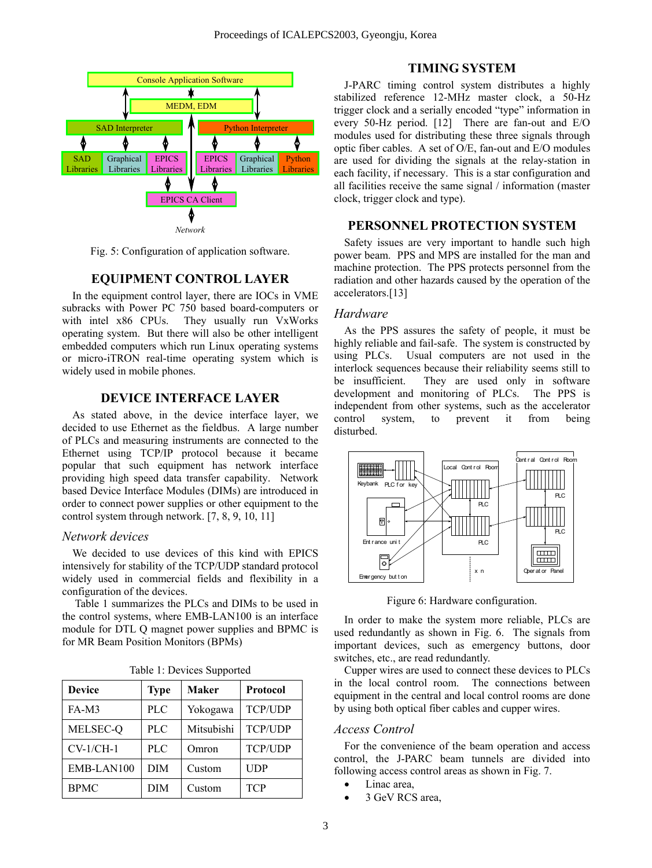

*Network*

Fig. 5: Configuration of application software.

## **EQUIPMENT CONTROL LAYER**

In the equipment control layer, there are IOCs in VME subracks with Power PC 750 based board-computers or with intel x86 CPUs. They usually run VxWorks operating system. But there will also be other intelligent embedded computers which run Linux operating systems or micro-iTRON real-time operating system which is widely used in mobile phones.

#### **DEVICE INTERFACE LAYER**

As stated above, in the device interface layer, we decided to use Ethernet as the fieldbus. A large number of PLCs and measuring instruments are connected to the Ethernet using TCP/IP protocol because it became popular that such equipment has network interface providing high speed data transfer capability. Network based Device Interface Modules (DIMs) are introduced in order to connect power supplies or other equipment to the control system through network. [7, 8, 9, 10, 11]

## *Network devices*

We decided to use devices of this kind with EPICS intensively for stability of the TCP/UDP standard protocol widely used in commercial fields and flexibility in a configuration of the devices.

Table 1 summarizes the PLCs and DIMs to be used in Figure 6: Hardware configuration. the control systems, where EMB-LAN100 is an interface module for DTL Q magnet power supplies and BPMC is for MR Beam Position Monitors (BPMs)

| <b>Device</b> | <b>Type</b> | <b>Maker</b> | Protocol       |
|---------------|-------------|--------------|----------------|
| $FA-M3$       | <b>PLC</b>  | Yokogawa     | <b>TCP/UDP</b> |
| MELSEC-Q      | <b>PLC</b>  | Mitsubishi   | TCP/UDP        |
| $CV-1/CH-1$   | <b>PLC</b>  | Omron        | <b>TCP/UDP</b> |
| EMB-LAN100    | DIM         | Custom       | <b>UDP</b>     |
| <b>BPMC</b>   | DIM         | Custom       | <b>TCP</b>     |

Table 1: Devices Supported

## **TIMING SYSTEM**

stabilized reference 12-MHz master clock, a 50-Hz trigger clock and a serially encoded "type" information in every 50-Hz period. [12] There are fan-out and E/O modules used for distributing these three signals through optic fiber cables. A set of O/E, fan-out and E/O modules are used for dividing the signals at the relay-station in each facility, if necessary. This is a star configuration and all facilities receive the same signal / information (master clock, trigger clock and type).

#### **PERSONNEL PROTECTION SYSTEM**

Safety issues are very important to handle such high power beam. PPS and MPS are installed for the man and machine protection. The PPS protects personnel from the radiation and other hazards caused by the operation of the accelerators.[13]

#### *Hardware*

As the PPS assures the safety of people, it must be highly reliable and fail-safe. The system is constructed by using PLCs. Usual computers are not used in the interlock sequences because their reliability seems still to be insufficient. They are used only in software development and monitoring of PLCs. The PPS is independent from other systems, such as the accelerator control system, to prevent it from being disturbed.



In order to make the system more reliable, PLCs are used redundantly as shown in Fig. 6. The signals from important devices, such as emergency buttons, door switches, etc., are read redundantly.

Cupper wires are used to connect these devices to PLCs in the local control room. The connections between equipment in the central and local control rooms are done by using both optical fiber cables and cupper wires.

## *Access Control*

For the convenience of the beam operation and access control, the J-PARC beam tunnels are divided into following access control areas as shown in Fig. 7.

- Linac area.
- 3 GeV RCS area.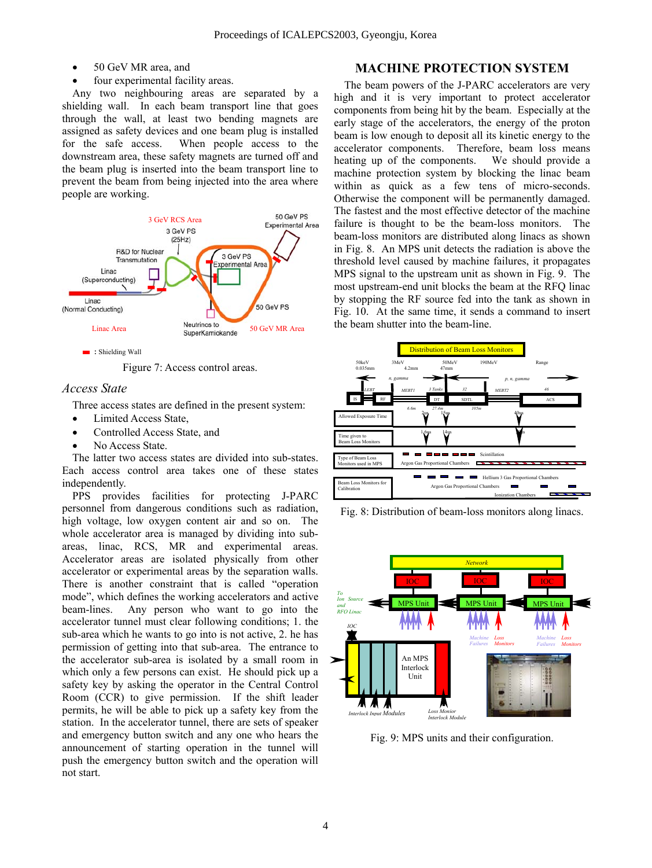- 
- 

Any two neighbouring areas are separated by a shielding wall. In each beam transport line that goes through the wall, at least two bending magnets are assigned as safety devices and one beam plug is installed for the safe access. When people access to the downstream area, these safety magnets are turned off and the beam plug is inserted into the beam transport line to prevent the beam from being injected into the area where people are working.



Figure 7: Access control areas.

#### *Access State*

Three access states are defined in the present system:

- Limited Access State,
- Controlled Access State, and
- No Access State.

The latter two access states are divided into sub-states. Each access control area takes one of these states independently.

PPS provides facilities for protecting J-PARC personnel from dangerous conditions such as radiation, high voltage, low oxygen content air and so on. The whole accelerator area is managed by dividing into subareas, linac, RCS, MR and experimental areas. Accelerator areas are isolated physically from other accelerator or experimental areas by the separation walls. There is another constraint that is called "operation mode", which defines the working accelerators and active beam-lines. Any person who want to go into the accelerator tunnel must clear following conditions; 1. the sub-area which he wants to go into is not active, 2. he has permission of getting into that sub-area. The entrance to the accelerator sub-area is isolated by a small room in which only a few persons can exist. He should pick up a safety key by asking the operator in the Central Control Room (CCR) to give permission. If the shift leader permits, he will be able to pick up a safety key from the station. In the accelerator tunnel, there are sets of speaker and emergency button switch and any one who hears the announcement of starting operation in the tunnel will push the emergency button switch and the operation will not start.

## • 50 GeV MR area, and **MACHINE PROTECTION SYSTEM**

four experimental facility areas. The beam powers of the J-PARC accelerators are very high and it is very important to protect accelerator components from being hit by the beam. Especially at the early stage of the accelerators, the energy of the proton beam is low enough to deposit all its kinetic energy to the accelerator components. Therefore, beam loss means heating up of the components. We should provide a machine protection system by blocking the linac beam within as quick as a few tens of micro-seconds. Otherwise the component will be permanently damaged. The fastest and the most effective detector of the machine failure is thought to be the beam-loss monitors. The beam-loss monitors are distributed along linacs as shown in Fig. 8. An MPS unit detects the radiation is above the threshold level caused by machine failures, it propagates MPS signal to the upstream unit as shown in Fig. 9. The most upstream-end unit blocks the beam at the RFQ linac by stopping the RF source fed into the tank as shown in Fig. 10. At the same time, it sends a command to insert the beam shutter into the beam-line.



Fig. 8: Distribution of beam-loss monitors along linacs.



Fig. 9: MPS units and their configuration.